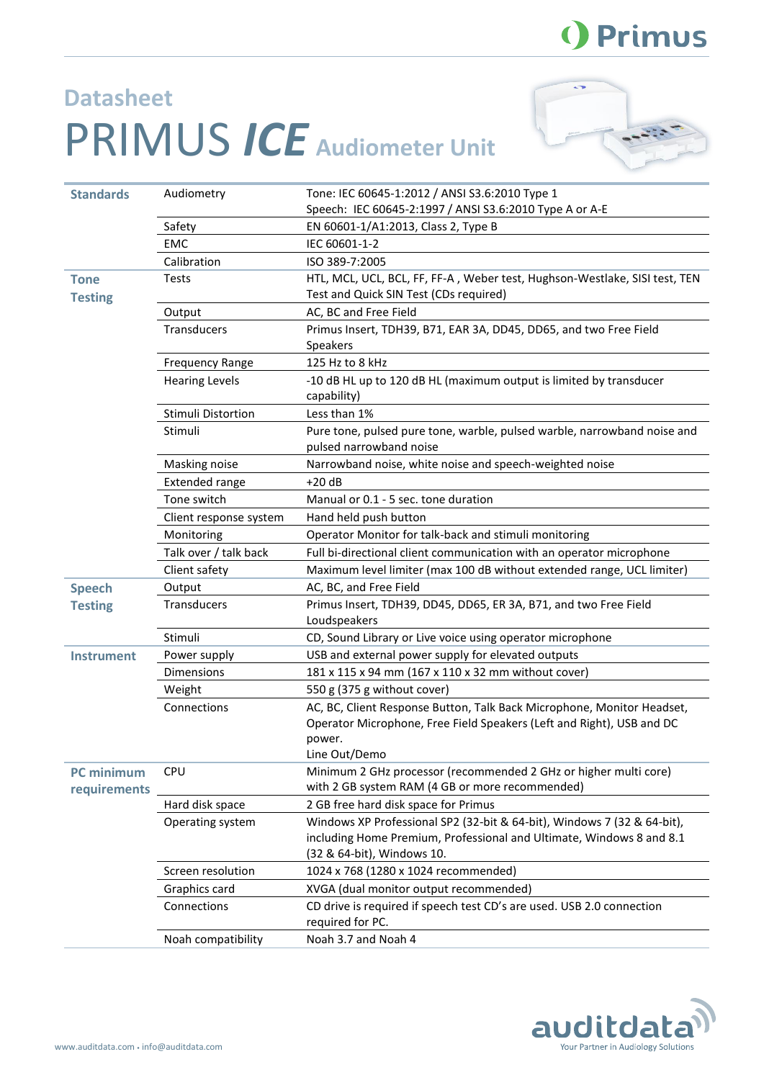## () Primus

## **Datasheet** PRIMUS *ICE* **Audiometer Unit**



| <b>Standards</b>              | Audiometry             | Tone: IEC 60645-1:2012 / ANSI S3.6:2010 Type 1                                                                                                                                |
|-------------------------------|------------------------|-------------------------------------------------------------------------------------------------------------------------------------------------------------------------------|
|                               |                        | Speech: IEC 60645-2:1997 / ANSI S3.6:2010 Type A or A-E                                                                                                                       |
|                               | Safety                 | EN 60601-1/A1:2013, Class 2, Type B                                                                                                                                           |
|                               | EMC                    | IEC 60601-1-2                                                                                                                                                                 |
|                               | Calibration            | ISO 389-7:2005                                                                                                                                                                |
| <b>Tone</b><br><b>Testing</b> | <b>Tests</b>           | HTL, MCL, UCL, BCL, FF, FF-A, Weber test, Hughson-Westlake, SISI test, TEN<br>Test and Quick SIN Test (CDs required)                                                          |
|                               | Output                 | AC, BC and Free Field                                                                                                                                                         |
|                               | Transducers            | Primus Insert, TDH39, B71, EAR 3A, DD45, DD65, and two Free Field<br><b>Speakers</b>                                                                                          |
|                               | <b>Frequency Range</b> | 125 Hz to 8 kHz                                                                                                                                                               |
|                               | <b>Hearing Levels</b>  | -10 dB HL up to 120 dB HL (maximum output is limited by transducer<br>capability)                                                                                             |
|                               | Stimuli Distortion     | Less than 1%                                                                                                                                                                  |
|                               | Stimuli                | Pure tone, pulsed pure tone, warble, pulsed warble, narrowband noise and<br>pulsed narrowband noise                                                                           |
|                               | Masking noise          | Narrowband noise, white noise and speech-weighted noise                                                                                                                       |
|                               | <b>Extended range</b>  | $+20dB$                                                                                                                                                                       |
|                               | Tone switch            | Manual or 0.1 - 5 sec. tone duration                                                                                                                                          |
|                               | Client response system | Hand held push button                                                                                                                                                         |
|                               | Monitoring             | Operator Monitor for talk-back and stimuli monitoring                                                                                                                         |
|                               | Talk over / talk back  | Full bi-directional client communication with an operator microphone                                                                                                          |
|                               | Client safety          | Maximum level limiter (max 100 dB without extended range, UCL limiter)                                                                                                        |
| <b>Speech</b>                 | Output                 | AC, BC, and Free Field                                                                                                                                                        |
| <b>Testing</b>                | <b>Transducers</b>     | Primus Insert, TDH39, DD45, DD65, ER 3A, B71, and two Free Field<br>Loudspeakers                                                                                              |
|                               | Stimuli                | CD, Sound Library or Live voice using operator microphone                                                                                                                     |
| <b>Instrument</b>             | Power supply           | USB and external power supply for elevated outputs                                                                                                                            |
|                               | <b>Dimensions</b>      | 181 x 115 x 94 mm (167 x 110 x 32 mm without cover)                                                                                                                           |
|                               | Weight                 | 550 g (375 g without cover)                                                                                                                                                   |
|                               | Connections            | AC, BC, Client Response Button, Talk Back Microphone, Monitor Headset,<br>Operator Microphone, Free Field Speakers (Left and Right), USB and DC<br>power.                     |
|                               |                        | Line Out/Demo                                                                                                                                                                 |
| PC minimum<br>requirements    | <b>CPU</b>             | Minimum 2 GHz processor (recommended 2 GHz or higher multi core)<br>with 2 GB system RAM (4 GB or more recommended)                                                           |
|                               | Hard disk space        | 2 GB free hard disk space for Primus                                                                                                                                          |
|                               | Operating system       | Windows XP Professional SP2 (32-bit & 64-bit), Windows 7 (32 & 64-bit),<br>including Home Premium, Professional and Ultimate, Windows 8 and 8.1<br>(32 & 64-bit), Windows 10. |
|                               | Screen resolution      | 1024 x 768 (1280 x 1024 recommended)                                                                                                                                          |
|                               | Graphics card          | XVGA (dual monitor output recommended)                                                                                                                                        |
|                               | Connections            | CD drive is required if speech test CD's are used. USB 2.0 connection<br>required for PC.                                                                                     |
|                               | Noah compatibility     | Noah 3.7 and Noah 4                                                                                                                                                           |